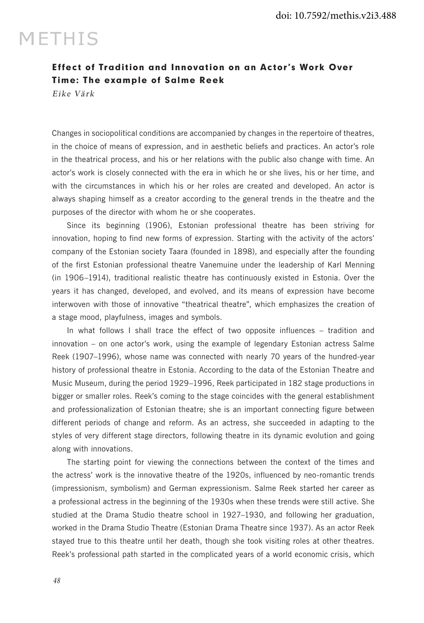# **METHIS**

## Effect of Tradition and Innovation on an Actor's Work Over Time: The example of Salme Reek

Eike Värk

Changes in sociopolitical conditions are accompanied by changes in the repertoire of theatres, in the choice of means of expression, and in aesthetic beliefs and practices. An actor's role in the theatrical process, and his or her relations with the public also change with time. An actor's work is closely connected with the era in which he or she lives, his or her time, and with the circumstances in which his or her roles are created and developed. An actor is always shaping himself as a creator according to the general trends in the theatre and the purposes of the director with whom he or she cooperates.

Since its beginning (1906), Estonian professional theatre has been striving for innovation, hoping to find new forms of expression. Starting with the activity of the actors' company of the Estonian society Taara (founded in 1898), and especially after the founding of the first Estonian professional theatre Vanemuine under the leadership of Karl Menning (in 1906–1914), traditional realistic theatre has continuously existed in Estonia. Over the years it has changed, developed, and evolved, and its means of expression have become interwoven with those of innovative "theatrical theatre", which emphasizes the creation of a stage mood, playfulness, images and symbols.

In what follows I shall trace the effect of two opposite influences – tradition and innovation – on one actor's work, using the example of legendary Estonian actress Salme Reek (1907–1996), whose name was connected with nearly 70 years of the hundred-year history of professional theatre in Estonia. According to the data of the Estonian Theatre and Music Museum, during the period 1929–1996, Reek participated in 182 stage productions in bigger or smaller roles. Reek's coming to the stage coincides with the general establishment and professionalization of Estonian theatre; she is an important connecting figure between different periods of change and reform. As an actress, she succeeded in adapting to the styles of very different stage directors, following theatre in its dynamic evolution and going along with innovations.

The starting point for viewing the connections between the context of the times and the actress' work is the innovative theatre of the 1920s, influenced by neo-romantic trends (impressionism, symbolism) and German expressionism. Salme Reek started her career as a professional actress in the beginning of the 1930s when these trends were still active. She studied at the Drama Studio theatre school in 1927–1930, and following her graduation, worked in the Drama Studio Theatre (Estonian Drama Theatre since 1937). As an actor Reek stayed true to this theatre until her death, though she took visiting roles at other theatres. Reek's professional path started in the complicated years of a world economic crisis, which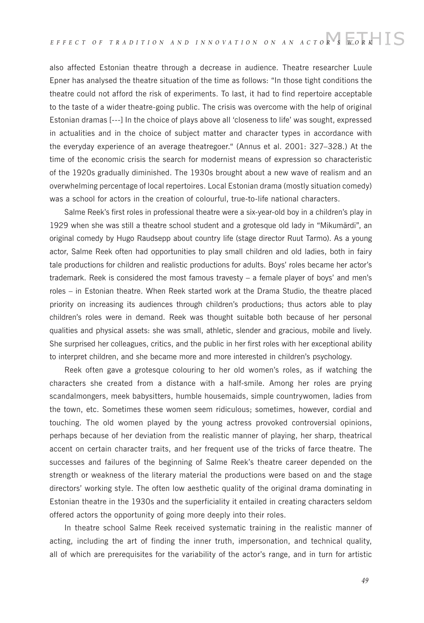also affected Estonian theatre through a decrease in audience. Theatre researcher Luule Epner has analysed the theatre situation of the time as follows: "In those tight conditions the theatre could not afford the risk of experiments. To last, it had to find repertoire acceptable to the taste of a wider theatre-going public. The crisis was overcome with the help of original Estonian dramas [---] In the choice of plays above all 'closeness to life' was sought, expressed in actualities and in the choice of subject matter and character types in accordance with the everyday experience of an average theatregoer." (Annus et al. 2001: 327–328.) At the time of the economic crisis the search for modernist means of expression so characteristic of the 1920s gradually diminished. The 1930s brought about a new wave of realism and an overwhelming percentage of local repertoires. Local Estonian drama (mostly situation comedy) was a school for actors in the creation of colourful, true-to-life national characters.

Salme Reek's first roles in professional theatre were a six-year-old boy in a children's play in 1929 when she was still a theatre school student and a grotesque old lady in "Mikumärdi", an original comedy by Hugo Raudsepp about country life (stage director Ruut Tarmo). As a young actor, Salme Reek often had opportunities to play small children and old ladies, both in fairy tale productions for children and realistic productions for adults. Boys' roles became her actor's trademark. Reek is considered the most famous travesty – a female player of boys' and men's roles – in Estonian theatre. When Reek started work at the Drama Studio, the theatre placed priority on increasing its audiences through children's productions; thus actors able to play children's roles were in demand. Reek was thought suitable both because of her personal qualities and physical assets: she was small, athletic, slender and gracious, mobile and lively. She surprised her colleagues, critics, and the public in her first roles with her exceptional ability to interpret children, and she became more and more interested in children's psychology.

Reek often gave a grotesque colouring to her old women's roles, as if watching the characters she created from a distance with a half-smile. Among her roles are prying scandalmongers, meek babysitters, humble housemaids, simple countrywomen, ladies from the town, etc. Sometimes these women seem ridiculous; sometimes, however, cordial and touching. The old women played by the young actress provoked controversial opinions, perhaps because of her deviation from the realistic manner of playing, her sharp, theatrical accent on certain character traits, and her frequent use of the tricks of farce theatre. The successes and failures of the beginning of Salme Reek's theatre career depended on the strength or weakness of the literary material the productions were based on and the stage directors' working style. The often low aesthetic quality of the original drama dominating in Estonian theatre in the 1930s and the superficiality it entailed in creating characters seldom offered actors the opportunity of going more deeply into their roles.

In theatre school Salme Reek received systematic training in the realistic manner of acting, including the art of finding the inner truth, impersonation, and technical quality, all of which are prerequisites for the variability of the actor's range, and in turn for artistic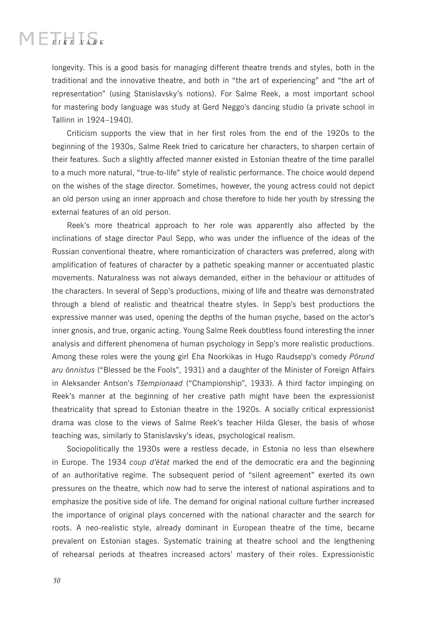longevity. This is a good basis for managing different theatre trends and styles, both in the traditional and the innovative theatre, and both in "the art of experiencing" and "the art of representation" (using Stanislavsky's notions). For Salme Reek, a most important school for mastering body language was study at Gerd Neggo's dancing studio (a private school in Tallinn in 1924–1940).

Criticism supports the view that in her first roles from the end of the 1920s to the beginning of the 1930s, Salme Reek tried to caricature her characters, to sharpen certain of their features. Such a slightly affected manner existed in Estonian theatre of the time parallel to a much more natural, "true-to-life" style of realistic performance. The choice would depend on the wishes of the stage director. Sometimes, however, the young actress could not depict an old person using an inner approach and chose therefore to hide her youth by stressing the external features of an old person.

Reek's more theatrical approach to her role was apparently also affected by the inclinations of stage director Paul Sepp, who was under the influence of the ideas of the Russian conventional theatre, where romanticization of characters was preferred, along with amplification of features of character by a pathetic speaking manner or accentuated plastic movements. Naturalness was not always demanded, either in the behaviour or attitudes of the characters. In several of Sepp's productions, mixing of life and theatre was demonstrated through a blend of realistic and theatrical theatre styles. In Sepp's best productions the expressive manner was used, opening the depths of the human psyche, based on the actor's inner gnosis, and true, organic acting. Young Salme Reek doubtless found interesting the inner analysis and different phenomena of human psychology in Sepp's more realistic productions. Among these roles were the young girl Eha Noorkikas in Hugo Raudsepp's comedy *Põrund aru õnnistus* ("Blessed be the Fools", 1931) and a daughter of the Minister of Foreign Affairs in Aleksander Antson's *Tšempionaad* ("Championship", 1933). A third factor impinging on Reek's manner at the beginning of her creative path might have been the expressionist theatricality that spread to Estonian theatre in the 1920s. A socially critical expressionist drama was close to the views of Salme Reek's teacher Hilda Gleser, the basis of whose teaching was, similarly to Stanislavsky's ideas, psychological realism.

Sociopolitically the 1930s were a restless decade, in Estonia no less than elsewhere in Europe. The 1934 *coup d'état* marked the end of the democratic era and the beginning of an authoritative regime. The subsequent period of "silent agreement" exerted its own pressures on the theatre, which now had to serve the interest of national aspirations and to emphasize the positive side of life. The demand for original national culture further increased the importance of original plays concerned with the national character and the search for roots. A neo-realistic style, already dominant in European theatre of the time, became prevalent on Estonian stages. Systematic training at theatre school and the lengthening of rehearsal periods at theatres increased actors' mastery of their roles. Expressionistic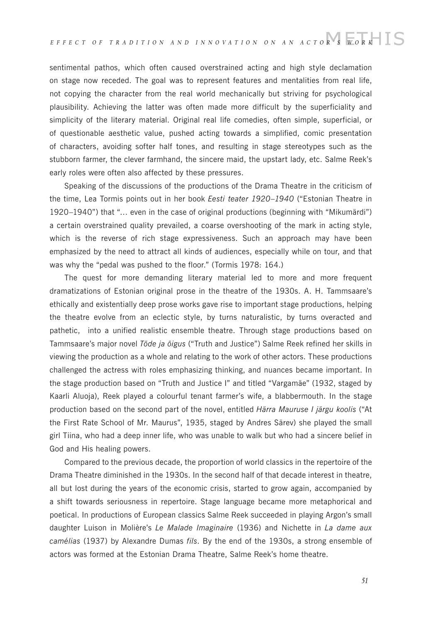sentimental pathos, which often caused overstrained acting and high style declamation on stage now receded. The goal was to represent features and mentalities from real life, not copying the character from the real world mechanically but striving for psychological plausibility. Achieving the latter was often made more difficult by the superficiality and simplicity of the literary material. Original real life comedies, often simple, superficial, or of questionable aesthetic value, pushed acting towards a simplified, comic presentation of characters, avoiding softer half tones, and resulting in stage stereotypes such as the stubborn farmer, the clever farmhand, the sincere maid, the upstart lady, etc. Salme Reek's early roles were often also affected by these pressures.

Speaking of the discussions of the productions of the Drama Theatre in the criticism of the time, Lea Tormis points out in her book *Eesti teater 1920–1940* ("Estonian Theatre in 1920–1940") that "… even in the case of original productions (beginning with "Mikumärdi") a certain overstrained quality prevailed, a coarse overshooting of the mark in acting style, which is the reverse of rich stage expressiveness. Such an approach may have been emphasized by the need to attract all kinds of audiences, especially while on tour, and that was why the "pedal was pushed to the floor." (Tormis 1978: 164.)

The quest for more demanding literary material led to more and more frequent dramatizations of Estonian original prose in the theatre of the 1930s. A. H. Tammsaare's ethically and existentially deep prose works gave rise to important stage productions, helping the theatre evolve from an eclectic style, by turns naturalistic, by turns overacted and pathetic, into a unified realistic ensemble theatre. Through stage productions based on Tammsaare's major novel *Tõde ja õigus* ("Truth and Justice") Salme Reek refined her skills in viewing the production as a whole and relating to the work of other actors. These productions challenged the actress with roles emphasizing thinking, and nuances became important. In the stage production based on "Truth and Justice I" and titled "Vargamäe" (1932, staged by Kaarli Aluoja), Reek played a colourful tenant farmer's wife, a blabbermouth. In the stage production based on the second part of the novel, entitled *Härra Mauruse I järgu koolis* ("At the First Rate School of Mr. Maurus", 1935, staged by Andres Särev) she played the small girl Tiina, who had a deep inner life, who was unable to walk but who had a sincere belief in God and His healing powers.

Compared to the previous decade, the proportion of world classics in the repertoire of the Drama Theatre diminished in the 1930s. In the second half of that decade interest in theatre, all but lost during the years of the economic crisis, started to grow again, accompanied by a shift towards seriousness in repertoire. Stage language became more metaphorical and poetical. In productions of European classics Salme Reek succeeded in playing Argon's small daughter Luison in Molière's *Le Malade Imaginaire* (1936) and Nichette in *La dame aux camélias* (1937) by Alexandre Dumas *fils*. By the end of the 1930s, a strong ensemble of actors was formed at the Estonian Drama Theatre, Salme Reek's home theatre.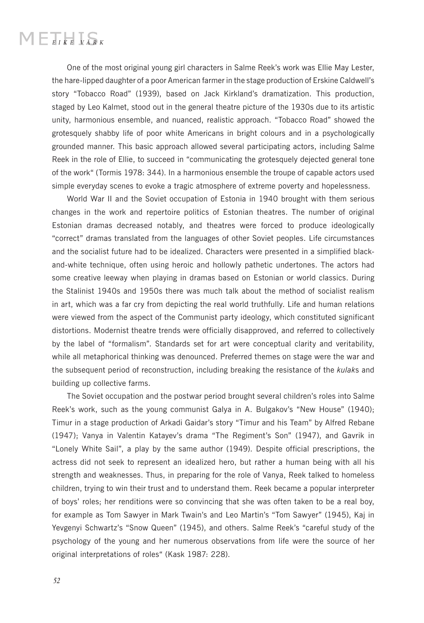One of the most original young girl characters in Salme Reek's work was Ellie May Lester, the hare-lipped daughter of a poor American farmer in the stage production of Erskine Caldwell's story "Tobacco Road" (1939), based on Jack Kirkland's dramatization. This production, staged by Leo Kalmet, stood out in the general theatre picture of the 1930s due to its artistic unity, harmonious ensemble, and nuanced, realistic approach. "Tobacco Road" showed the grotesquely shabby life of poor white Americans in bright colours and in a psychologically grounded manner. This basic approach allowed several participating actors, including Salme Reek in the role of Ellie, to succeed in "communicating the grotesquely dejected general tone of the work" (Tormis 1978: 344). In a harmonious ensemble the troupe of capable actors used simple everyday scenes to evoke a tragic atmosphere of extreme poverty and hopelessness.

World War II and the Soviet occupation of Estonia in 1940 brought with them serious changes in the work and repertoire politics of Estonian theatres. The number of original Estonian dramas decreased notably, and theatres were forced to produce ideologically "correct" dramas translated from the languages of other Soviet peoples. Life circumstances and the socialist future had to be idealized. Characters were presented in a simplified blackand-white technique, often using heroic and hollowly pathetic undertones. The actors had some creative leeway when playing in dramas based on Estonian or world classics. During the Stalinist 1940s and 1950s there was much talk about the method of socialist realism in art, which was a far cry from depicting the real world truthfully. Life and human relations were viewed from the aspect of the Communist party ideology, which constituted significant distortions. Modernist theatre trends were officially disapproved, and referred to collectively by the label of "formalism". Standards set for art were conceptual clarity and veritability, while all metaphorical thinking was denounced. Preferred themes on stage were the war and the subsequent period of reconstruction, including breaking the resistance of the *kulak*s and building up collective farms.

The Soviet occupation and the postwar period brought several children's roles into Salme Reek's work, such as the young communist Galya in A. Bulgakov's "New House" (1940); Timur in a stage production of Arkadi Gaidar's story "Timur and his Team" by Alfred Rebane (1947); Vanya in Valentin Katayev's drama "The Regiment's Son" (1947), and Gavrik in "Lonely White Sail", a play by the same author (1949). Despite official prescriptions, the actress did not seek to represent an idealized hero, but rather a human being with all his strength and weaknesses. Thus, in preparing for the role of Vanya, Reek talked to homeless children, trying to win their trust and to understand them. Reek became a popular interpreter of boys' roles; her renditions were so convincing that she was often taken to be a real boy, for example as Tom Sawyer in Mark Twain's and Leo Martin's "Tom Sawyer" (1945), Kaj in Yevgenyi Schwartz's "Snow Queen" (1945), and others. Salme Reek's "careful study of the psychology of the young and her numerous observations from life were the source of her original interpretations of roles" (Kask 1987: 228).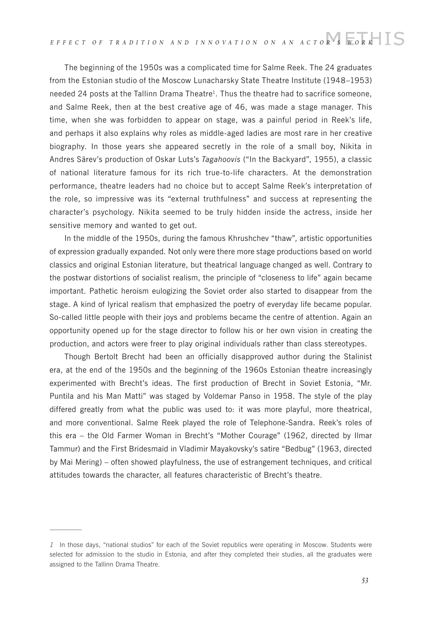The beginning of the 1950s was a complicated time for Salme Reek. The 24 graduates from the Estonian studio of the Moscow Lunacharsky State Theatre Institute (1948–1953) needed 24 posts at the Tallinn Drama Theatre<sup>1</sup>. Thus the theatre had to sacrifice someone, and Salme Reek, then at the best creative age of 46, was made a stage manager. This time, when she was forbidden to appear on stage, was a painful period in Reek's life, and perhaps it also explains why roles as middle-aged ladies are most rare in her creative biography. In those years she appeared secretly in the role of a small boy, Nikita in Andres Särev's production of Oskar Luts's *Tagahoovis* ("In the Backyard", 1955), a classic of national literature famous for its rich true-to-life characters. At the demonstration performance, theatre leaders had no choice but to accept Salme Reek's interpretation of the role, so impressive was its "external truthfulness" and success at representing the character's psychology. Nikita seemed to be truly hidden inside the actress, inside her sensitive memory and wanted to get out.

In the middle of the 1950s, during the famous Khrushchev "thaw", artistic opportunities of expression gradually expanded. Not only were there more stage productions based on world classics and original Estonian literature, but theatrical language changed as well. Contrary to the postwar distortions of socialist realism, the principle of "closeness to life" again became important. Pathetic heroism eulogizing the Soviet order also started to disappear from the stage. A kind of lyrical realism that emphasized the poetry of everyday life became popular. So-called little people with their joys and problems became the centre of attention. Again an opportunity opened up for the stage director to follow his or her own vision in creating the production, and actors were freer to play original individuals rather than class stereotypes.

Though Bertolt Brecht had been an officially disapproved author during the Stalinist era, at the end of the 1950s and the beginning of the 1960s Estonian theatre increasingly experimented with Brecht's ideas. The first production of Brecht in Soviet Estonia, "Mr. Puntila and his Man Matti" was staged by Voldemar Panso in 1958. The style of the play differed greatly from what the public was used to: it was more playful, more theatrical, and more conventional. Salme Reek played the role of Telephone-Sandra. Reek's roles of this era – the Old Farmer Woman in Brecht's "Mother Courage" (1962, directed by Ilmar Tammur) and the First Bridesmaid in Vladimir Mayakovsky's satire "Bedbug" (1963, directed by Mai Mering) – often showed playfulness, the use of estrangement techniques, and critical attitudes towards the character, all features characteristic of Brecht's theatre.

*<sup>1</sup>* In those days, "national studios" for each of the Soviet republics were operating in Moscow. Students were selected for admission to the studio in Estonia, and after they completed their studies, all the graduates were assigned to the Tallinn Drama Theatre.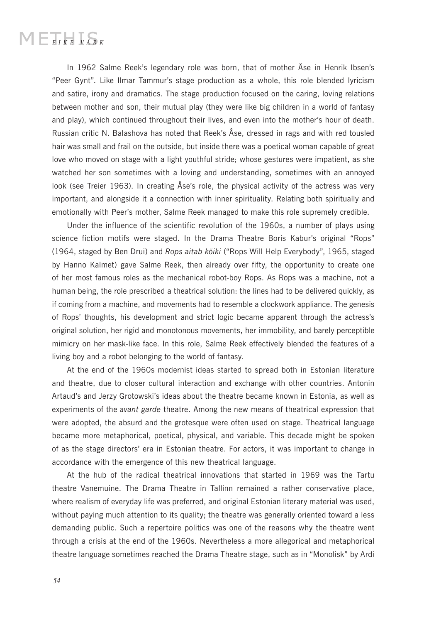In 1962 Salme Reek's legendary role was born, that of mother Åse in Henrik Ibsen's "Peer Gynt". Like Ilmar Tammur's stage production as a whole, this role blended lyricism and satire, irony and dramatics. The stage production focused on the caring, loving relations between mother and son, their mutual play (they were like big children in a world of fantasy and play), which continued throughout their lives, and even into the mother's hour of death. Russian critic N. Balashova has noted that Reek's Åse, dressed in rags and with red tousled hair was small and frail on the outside, but inside there was a poetical woman capable of great love who moved on stage with a light youthful stride; whose gestures were impatient, as she watched her son sometimes with a loving and understanding, sometimes with an annoyed look (see Treier 1963). In creating Åse's role, the physical activity of the actress was very important, and alongside it a connection with inner spirituality. Relating both spiritually and emotionally with Peer's mother, Salme Reek managed to make this role supremely credible.

Under the influence of the scientific revolution of the 1960s, a number of plays using science fiction motifs were staged. In the Drama Theatre Boris Kabur's original "Rops" (1964, staged by Ben Drui) and *Rops aitab kõiki* ("Rops Will Help Everybody", 1965, staged by Hanno Kalmet) gave Salme Reek, then already over fifty, the opportunity to create one of her most famous roles as the mechanical robot-boy Rops. As Rops was a machine, not a human being, the role prescribed a theatrical solution: the lines had to be delivered quickly, as if coming from a machine, and movements had to resemble a clockwork appliance. The genesis of Rops' thoughts, his development and strict logic became apparent through the actress's original solution, her rigid and monotonous movements, her immobility, and barely perceptible mimicry on her mask-like face. In this role, Salme Reek effectively blended the features of a living boy and a robot belonging to the world of fantasy.

At the end of the 1960s modernist ideas started to spread both in Estonian literature and theatre, due to closer cultural interaction and exchange with other countries. Antonin Artaud's and Jerzy Grotowski's ideas about the theatre became known in Estonia, as well as experiments of the *avant garde* theatre. Among the new means of theatrical expression that were adopted, the absurd and the grotesque were often used on stage. Theatrical language became more metaphorical, poetical, physical, and variable. This decade might be spoken of as the stage directors' era in Estonian theatre. For actors, it was important to change in accordance with the emergence of this new theatrical language.

At the hub of the radical theatrical innovations that started in 1969 was the Tartu theatre Vanemuine. The Drama Theatre in Tallinn remained a rather conservative place, where realism of everyday life was preferred, and original Estonian literary material was used, without paying much attention to its quality; the theatre was generally oriented toward a less demanding public. Such a repertoire politics was one of the reasons why the theatre went through a crisis at the end of the 1960s. Nevertheless a more allegorical and metaphorical theatre language sometimes reached the Drama Theatre stage, such as in "Monolisk" by Ardi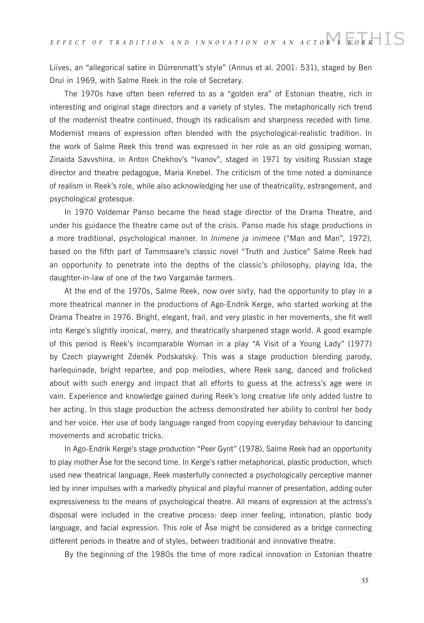Liives, an "allegorical satire in Dürrenmatt's style" (Annus et al. 2001: 531), staged by Ben Drui in 1969, with Salme Reek in the role of Secretary.

The 1970s have often been referred to as a "golden era" of Estonian theatre, rich in interesting and original stage directors and a variety of styles. The metaphorically rich trend of the modernist theatre continued, though its radicalism and sharpness receded with time. Modernist means of expression often blended with the psychological-realistic tradition. In the work of Salme Reek this trend was expressed in her role as an old gossiping woman, Zinaida Savvshina, in Anton Chekhov's "Ivanov", staged in 1971 by visiting Russian stage director and theatre pedagogue, Maria Knebel. The criticism of the time noted a dominance of realism in Reek's role, while also acknowledging her use of theatricality, estrangement, and psychological grotesque.

In 1970 Voldemar Panso became the head stage director of the Drama Theatre, and under his guidance the theatre came out of the crisis. Panso made his stage productions in a more traditional, psychological manner. In *Inimene ja inimene* ("Man and Man", 1972), based on the fifth part of Tammsaare's classic novel "Truth and Justice" Salme Reek had an opportunity to penetrate into the depths of the classic's philosophy, playing Ida, the daughter-in-law of one of the two Vargamäe farmers.

At the end of the 1970s, Salme Reek, now over sixty, had the opportunity to play in a more theatrical manner in the productions of Ago-Endrik Kerge, who started working at the Drama Theatre in 1976. Bright, elegant, frail, and very plastic in her movements, she fit well into Kerge's slightly ironical, merry, and theatrically sharpened stage world. A good example of this period is Reek's incomparable Woman in a play "A Visit of a Young Lady" (1977) by Czech playwright Zdenĕk Podskalský. This was a stage production blending parody, harlequinade, bright repartee, and pop melodies, where Reek sang, danced and frolicked about with such energy and impact that all efforts to guess at the actress's age were in vain. Experience and knowledge gained during Reek's long creative life only added lustre to her acting. In this stage production the actress demonstrated her ability to control her body and her voice. Her use of body language ranged from copying everyday behaviour to dancing movements and acrobatic tricks.

In Ago-Endrik Kerge's stage production "Peer Gynt" (1978), Salme Reek had an opportunity to play mother Åse for the second time. In Kerge's rather metaphorical, plastic production, which used new theatrical language, Reek masterfully connected a psychologically perceptive manner led by inner impulses with a markedly physical and playful manner of presentation, adding outer expressiveness to the means of psychological theatre. All means of expression at the actress's disposal were included in the creative process: deep inner feeling, intonation, plastic body language, and facial expression. This role of Åse might be considered as a bridge connecting different periods in theatre and of styles, between traditional and innovative theatre.

By the beginning of the 1980s the time of more radical innovation in Estonian theatre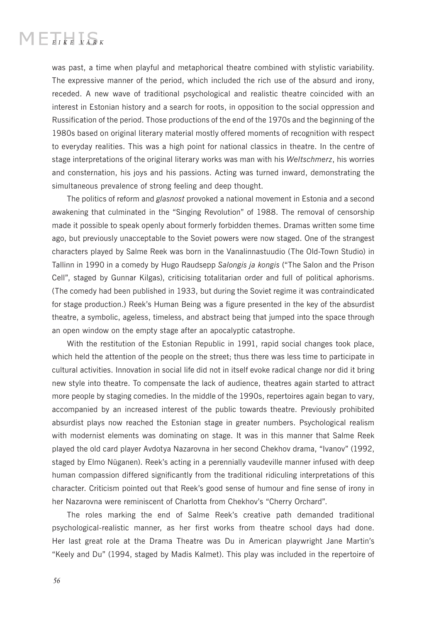was past, a time when playful and metaphorical theatre combined with stylistic variability. The expressive manner of the period, which included the rich use of the absurd and irony, receded. A new wave of traditional psychological and realistic theatre coincided with an interest in Estonian history and a search for roots, in opposition to the social oppression and Russification of the period. Those productions of the end of the 1970s and the beginning of the 1980s based on original literary material mostly offered moments of recognition with respect to everyday realities. This was a high point for national classics in theatre. In the centre of stage interpretations of the original literary works was man with his *Weltschmerz*, his worries and consternation, his joys and his passions. Acting was turned inward, demonstrating the simultaneous prevalence of strong feeling and deep thought.

The politics of reform and *glasnost* provoked a national movement in Estonia and a second awakening that culminated in the "Singing Revolution" of 1988. The removal of censorship made it possible to speak openly about formerly forbidden themes. Dramas written some time ago, but previously unacceptable to the Soviet powers were now staged. One of the strangest characters played by Salme Reek was born in the Vanalinnastuudio (The Old-Town Studio) in Tallinn in 1990 in a comedy by Hugo Raudsepp *Salongis ja kongis* ("The Salon and the Prison Cell", staged by Gunnar Kilgas), criticising totalitarian order and full of political aphorisms. (The comedy had been published in 1933, but during the Soviet regime it was contraindicated for stage production.) Reek's Human Being was a figure presented in the key of the absurdist theatre, a symbolic, ageless, timeless, and abstract being that jumped into the space through an open window on the empty stage after an apocalyptic catastrophe.

With the restitution of the Estonian Republic in 1991, rapid social changes took place, which held the attention of the people on the street; thus there was less time to participate in cultural activities. Innovation in social life did not in itself evoke radical change nor did it bring new style into theatre. To compensate the lack of audience, theatres again started to attract more people by staging comedies. In the middle of the 1990s, repertoires again began to vary, accompanied by an increased interest of the public towards theatre. Previously prohibited absurdist plays now reached the Estonian stage in greater numbers. Psychological realism with modernist elements was dominating on stage. It was in this manner that Salme Reek played the old card player Avdotya Nazarovna in her second Chekhov drama, "Ivanov" (1992, staged by Elmo Nüganen). Reek's acting in a perennially vaudeville manner infused with deep human compassion differed significantly from the traditional ridiculing interpretations of this character. Criticism pointed out that Reek's good sense of humour and fine sense of irony in her Nazarovna were reminiscent of Charlotta from Chekhov's "Cherry Orchard".

The roles marking the end of Salme Reek's creative path demanded traditional psychological-realistic manner, as her first works from theatre school days had done. Her last great role at the Drama Theatre was Du in American playwright Jane Martin's "Keely and Du" (1994, staged by Madis Kalmet). This play was included in the repertoire of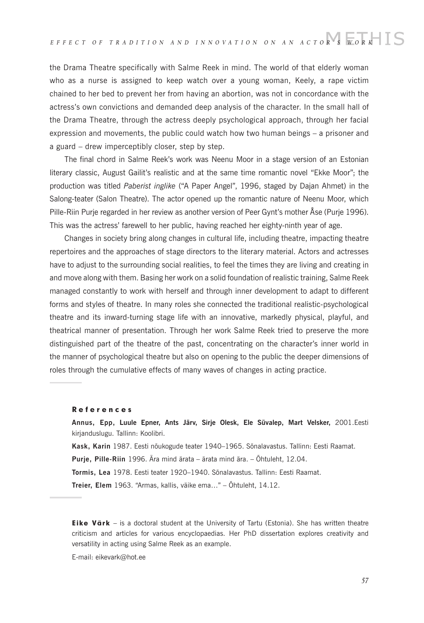the Drama Theatre specifically with Salme Reek in mind. The world of that elderly woman who as a nurse is assigned to keep watch over a young woman, Keely, a rape victim chained to her bed to prevent her from having an abortion, was not in concordance with the actress's own convictions and demanded deep analysis of the character. In the small hall of the Drama Theatre, through the actress deeply psychological approach, through her facial expression and movements, the public could watch how two human beings – a prisoner and a guard – drew imperceptibly closer, step by step.

The final chord in Salme Reek's work was Neenu Moor in a stage version of an Estonian literary classic, August Gailit's realistic and at the same time romantic novel "Ekke Moor"; the production was titled *Paberist inglike* ("A Paper Angel", 1996, staged by Dajan Ahmet) in the Salong-teater (Salon Theatre). The actor opened up the romantic nature of Neenu Moor, which Pille-Riin Purje regarded in her review as another version of Peer Gynt's mother Åse (Purje 1996). This was the actress' farewell to her public, having reached her eighty-ninth year of age.

Changes in society bring along changes in cultural life, including theatre, impacting theatre repertoires and the approaches of stage directors to the literary material. Actors and actresses have to adjust to the surrounding social realities, to feel the times they are living and creating in and move along with them. Basing her work on a solid foundation of realistic training, Salme Reek managed constantly to work with herself and through inner development to adapt to different forms and styles of theatre. In many roles she connected the traditional realistic-psychological theatre and its inward-turning stage life with an innovative, markedly physical, playful, and theatrical manner of presentation. Through her work Salme Reek tried to preserve the more distinguished part of the theatre of the past, concentrating on the character's inner world in the manner of psychological theatre but also on opening to the public the deeper dimensions of roles through the cumulative effects of many waves of changes in acting practice.

#### References

**Annus, Epp, Luule Epner, Ants Järv, Sirje Olesk, Ele Süvalep, Mart Velsker,** 2001.Eesti kirjanduslugu. Tallinn: Koolibri.

**Kask, Karin** 1987. Eesti nõukogude teater 1940–1965. Sõnalavastus. Tallinn: Eesti Raamat. **Purje, Pille-Riin** 1996. Ära mind ärata – ärata mind ära. – Õhtuleht, 12.04. **Tormis, Lea** 1978. Eesti teater 1920–1940. Sõnalavastus. Tallinn: Eesti Raamat. **Treier, Elem** 1963. "Armas, kallis, väike ema…" – Õhtuleht, 14.12.

**Eike Värk** – is a doctoral student at the University of Tartu (Estonia). She has written theatre criticism and articles for various encyclopaedias. Her PhD dissertation explores creativity and versatility in acting using Salme Reek as an example.

E-mail: eikevark@hot.ee